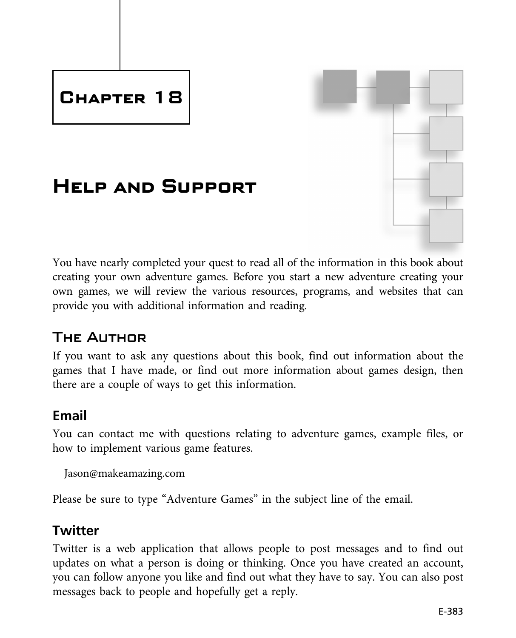# **Chapter 18**

# **Help and Support**



### The Author

If you want to ask any questions about this book, find out information about the games that I have made, or find out more information about games design, then there are a couple of ways to get this information.

### **Email**

You can contact me with questions relating to adventure games, example files, or how to implement various game features.

Jason@makeamazing.com

Please be sure to type "Adventure Games" in the subject line of the email.

### **Twitter**

Twitter is a web application that allows people to post messages and to find out updates on what a person is doing or thinking. Once you have created an account, you can follow anyone you like and find out what they have to say. You can also post messages back to people and hopefully get a reply.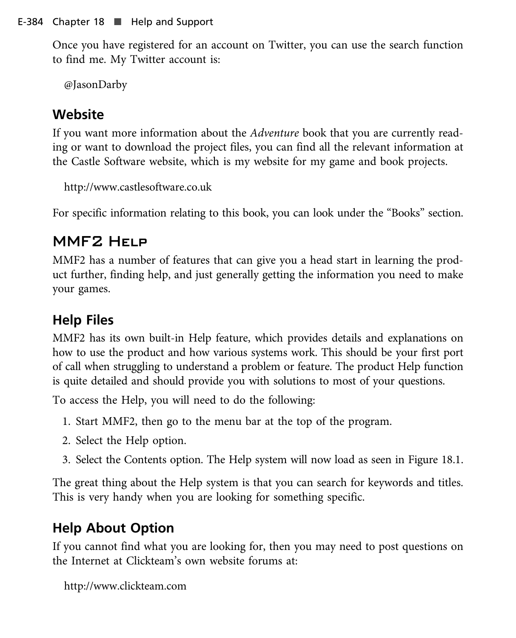Once you have registered for an account on Twitter, you can use the search function to find me. My Twitter account is:

@JasonDarby

### **Website**

If you want more information about the Adventure book that you are currently reading or want to download the project files, you can find all the relevant information at the Castle Software website, which is my website for my game and book projects.

http://www.castlesoftware.co.uk

For specific information relating to this book, you can look under the "Books" section.

## MMF2 Help

MMF2 has a number of features that can give you a head start in learning the product further, finding help, and just generally getting the information you need to make your games.

# **Help Files**

MMF2 has its own built-in Help feature, which provides details and explanations on how to use the product and how various systems work. This should be your first port of call when struggling to understand a problem or feature. The product Help function is quite detailed and should provide you with solutions to most of your questions.

To access the Help, you will need to do the following:

- 1. Start MMF2, then go to the menu bar at the top of the program.
- 2. Select the Help option.
- 3. Select the Contents option. The Help system will now load as seen in Figure 18.1.

The great thing about the Help system is that you can search for keywords and titles. This is very handy when you are looking for something specific.

# **Help About Option**

If you cannot find what you are looking for, then you may need to post questions on the Internet at Clickteam's own website forums at:

```
http://www.clickteam.com
```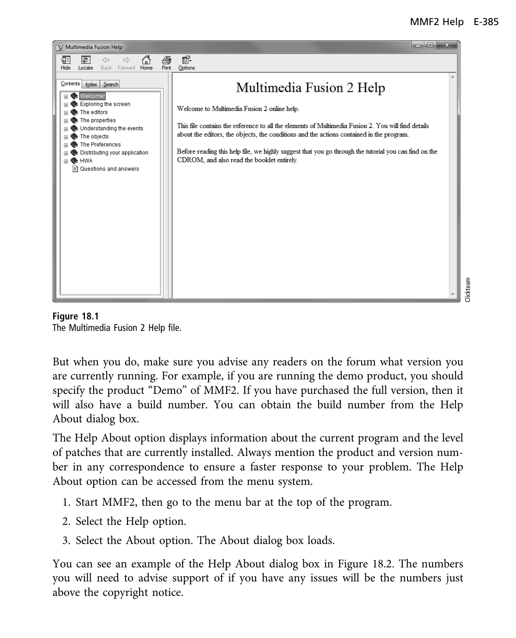#### MMF2 Help E-385





But when you do, make sure you advise any readers on the forum what version you are currently running. For example, if you are running the demo product, you should specify the product "Demo" of MMF2. If you have purchased the full version, then it will also have a build number. You can obtain the build number from the Help About dialog box.

The Help About option displays information about the current program and the level of patches that are currently installed. Always mention the product and version number in any correspondence to ensure a faster response to your problem. The Help About option can be accessed from the menu system.

- 1. Start MMF2, then go to the menu bar at the top of the program.
- 2. Select the Help option.
- 3. Select the About option. The About dialog box loads.

You can see an example of the Help About dialog box in Figure 18.2. The numbers you will need to advise support of if you have any issues will be the numbers just above the copyright notice.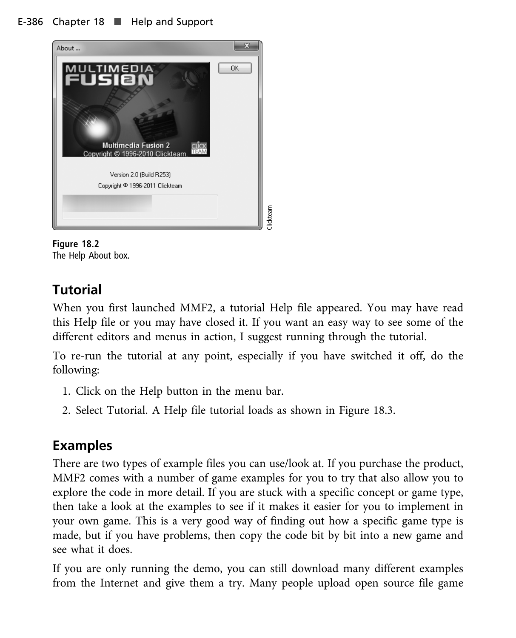#### E-386 Chapter 18 **H** Help and Support





### **Tutorial**

When you first launched MMF2, a tutorial Help file appeared. You may have read this Help file or you may have closed it. If you want an easy way to see some of the different editors and menus in action, I suggest running through the tutorial.

To re-run the tutorial at any point, especially if you have switched it off, do the following:

- 1. Click on the Help button in the menu bar.
- 2. Select Tutorial. A Help file tutorial loads as shown in Figure 18.3.

### **Examples**

There are two types of example files you can use/look at. If you purchase the product, MMF2 comes with a number of game examples for you to try that also allow you to explore the code in more detail. If you are stuck with a specific concept or game type, then take a look at the examples to see if it makes it easier for you to implement in your own game. This is a very good way of finding out how a specific game type is made, but if you have problems, then copy the code bit by bit into a new game and see what it does.

If you are only running the demo, you can still download many different examples from the Internet and give them a try. Many people upload open source file game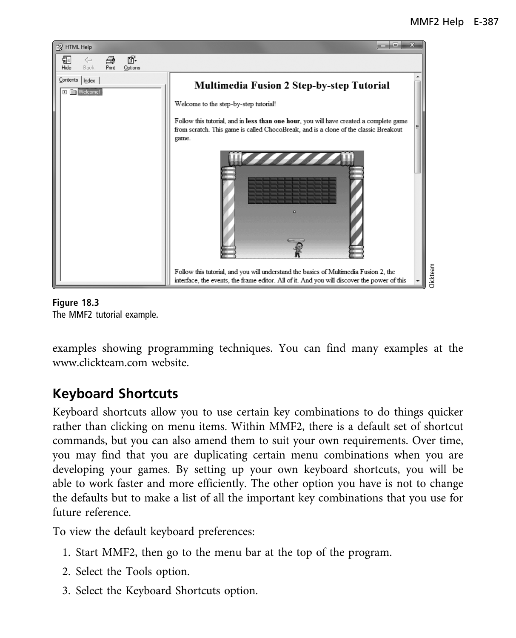

**Figure 18.3** The MMF2 tutorial example.

examples showing programming techniques. You can find many examples at the www.clickteam.com website.

### **Keyboard Shortcuts**

Keyboard shortcuts allow you to use certain key combinations to do things quicker rather than clicking on menu items. Within MMF2, there is a default set of shortcut commands, but you can also amend them to suit your own requirements. Over time, you may find that you are duplicating certain menu combinations when you are developing your games. By setting up your own keyboard shortcuts, you will be able to work faster and more efficiently. The other option you have is not to change the defaults but to make a list of all the important key combinations that you use for future reference.

To view the default keyboard preferences:

- 1. Start MMF2, then go to the menu bar at the top of the program.
- 2. Select the Tools option.
- 3. Select the Keyboard Shortcuts option.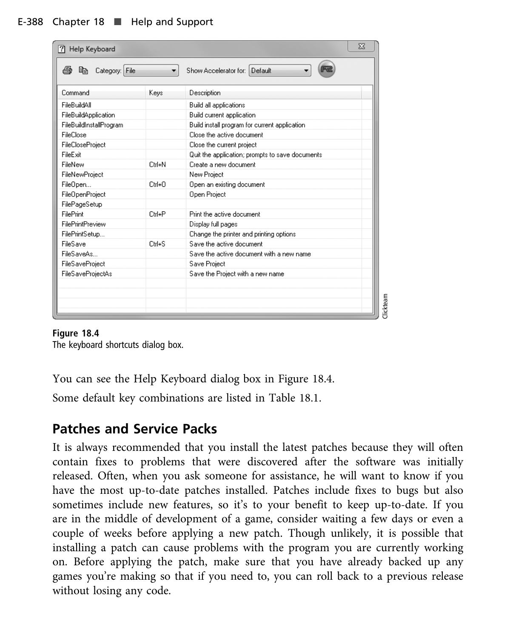| 53<br>Help Keyboard<br>?1 |                               |                                                 |  |  |  |
|---------------------------|-------------------------------|-------------------------------------------------|--|--|--|
| Category: File<br>眙       | Show Accelerator for: Default |                                                 |  |  |  |
| Command                   | Keys                          | Description                                     |  |  |  |
| FileBuildAll              |                               | Build all applications                          |  |  |  |
| FileBuildApplication      |                               | Build current application                       |  |  |  |
| FileBuildInstallProgram   |                               | Build install program for current application.  |  |  |  |
| FileClose                 |                               | Close the active document                       |  |  |  |
| FileCloseProject          |                               | Close the current project                       |  |  |  |
| FileFxit                  |                               | Quit the application; prompts to save documents |  |  |  |
| FileNew                   | Ctrl+N                        | Create a new document                           |  |  |  |
| FileNewProject            |                               | New Project                                     |  |  |  |
| FileOpen                  | $C$ trl+ $\Omega$             | Open an existing document                       |  |  |  |
| FileOpenProject           |                               | Open Project                                    |  |  |  |
| FilePageSetup             |                               |                                                 |  |  |  |
| FilePrint                 | Ctrl+P                        | Print the active document                       |  |  |  |
| FilePrintPreview          |                               | Display full pages                              |  |  |  |
| FilePrintSetup            |                               | Change the printer and printing options         |  |  |  |
| <b>FileSave</b>           | $Crl+S$                       | Save the active document                        |  |  |  |
| FileSaveAs                |                               | Save the active document with a new name        |  |  |  |
| <b>FileSaveProject</b>    |                               | Save Project                                    |  |  |  |
| <b>FileSaveProjectAs</b>  |                               | Save the Project with a new name                |  |  |  |
|                           |                               |                                                 |  |  |  |
|                           |                               |                                                 |  |  |  |
|                           |                               |                                                 |  |  |  |
|                           |                               |                                                 |  |  |  |

#### Figure 18.4

**Figure 18.4** The keyboard shortcuts dialog box.

You can see the Help Keyboard dialog box in Figure 18.4.

Some default key combinations are listed in Table 18.1.

#### **Patches and Service Packs**

It is always recommended that you install the latest patches because they will often contain fixes to problems that were discovered after the software was initially released. Often, when you ask someone for assistance, he will want to know if you have the most up-to-date patches installed. Patches include fixes to bugs but also sometimes include new features, so it's to your benefit to keep up-to-date. If you are in the middle of development of a game, consider waiting a few days or even a couple of weeks before applying a new patch. Though unlikely, it is possible that installing a patch can cause problems with the program you are currently working on. Before applying the patch, make sure that you have already backed up any games you're making so that if you need to, you can roll back to a previous release without losing any code.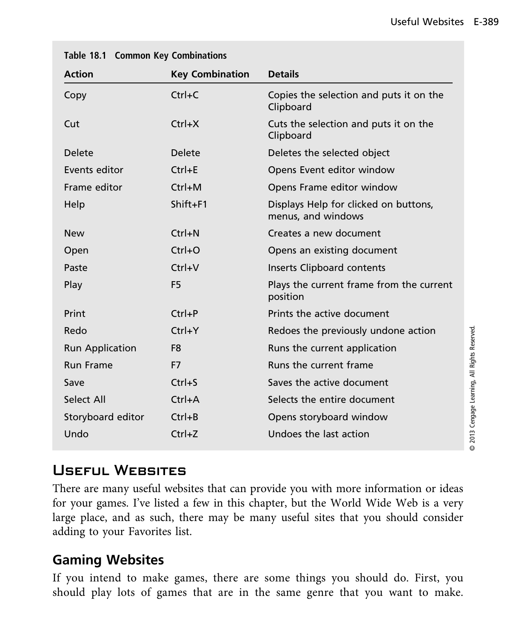| <b>Key Combination</b> | <b>Details</b>                                              |  |  |
|------------------------|-------------------------------------------------------------|--|--|
| $Ctrl+C$               | Copies the selection and puts it on the<br>Clipboard        |  |  |
| Ctrl+X                 | Cuts the selection and puts it on the<br>Clipboard          |  |  |
| <b>Delete</b>          | Deletes the selected object                                 |  |  |
| $Ctrl + E$             | Opens Event editor window                                   |  |  |
| $Ctrl+M$               | Opens Frame editor window                                   |  |  |
| Shift+F1               | Displays Help for clicked on buttons,<br>menus, and windows |  |  |
| $Ctrl + N$             | Creates a new document                                      |  |  |
| $Ctrl + O$             | Opens an existing document                                  |  |  |
| Ctrl+V                 | Inserts Clipboard contents                                  |  |  |
| F <sub>5</sub>         | Plays the current frame from the current<br>position        |  |  |
| $Ctrl + P$             | Prints the active document                                  |  |  |
| $Ctrl+Y$               | Redoes the previously undone action                         |  |  |
| F <sub>8</sub>         | Runs the current application                                |  |  |
| F7                     | Runs the current frame                                      |  |  |
| $Ctrl + S$             | Saves the active document                                   |  |  |
| $Ctrl+A$               | Selects the entire document                                 |  |  |
| $Ctrl + B$             | Opens storyboard window                                     |  |  |
| $Ctrl+Z$               | Undoes the last action                                      |  |  |
|                        |                                                             |  |  |

| Table 18.1 Common Key Combinations |  |  |  |  |
|------------------------------------|--|--|--|--|
|------------------------------------|--|--|--|--|

### Useful Websites

There are many useful websites that can provide you with more information or ideas for your games. I've listed a few in this chapter, but the World Wide Web is a very large place, and as such, there may be many useful sites that you should consider adding to your Favorites list.

### **Gaming Websites**

If you intend to make games, there are some things you should do. First, you should play lots of games that are in the same genre that you want to make.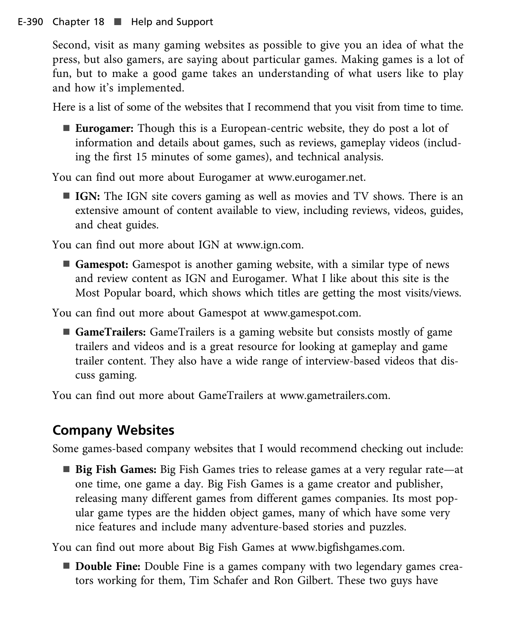Second, visit as many gaming websites as possible to give you an idea of what the press, but also gamers, are saying about particular games. Making games is a lot of fun, but to make a good game takes an understanding of what users like to play and how it's implemented.

Here is a list of some of the websites that I recommend that you visit from time to time.

■ **Eurogamer:** Though this is a European-centric website, they do post a lot of information and details about games, such as reviews, gameplay videos (including the first 15 minutes of some games), and technical analysis.

You can find out more about Eurogamer at www.eurogamer.net.

**IGN:** The IGN site covers gaming as well as movies and TV shows. There is an extensive amount of content available to view, including reviews, videos, guides, and cheat guides.

You can find out more about IGN at www.ign.com.

■ Gamespot: Gamespot is another gaming website, with a similar type of news and review content as IGN and Eurogamer. What I like about this site is the Most Popular board, which shows which titles are getting the most visits/views.

You can find out more about Gamespot at www.gamespot.com.

■ GameTrailers: GameTrailers is a gaming website but consists mostly of game trailers and videos and is a great resource for looking at gameplay and game trailer content. They also have a wide range of interview-based videos that discuss gaming.

You can find out more about GameTrailers at www.gametrailers.com.

# **Company Websites**

Some games-based company websites that I would recommend checking out include:

■ Big Fish Games: Big Fish Games tries to release games at a very regular rate—at one time, one game a day. Big Fish Games is a game creator and publisher, releasing many different games from different games companies. Its most popular game types are the hidden object games, many of which have some very nice features and include many adventure-based stories and puzzles.

You can find out more about Big Fish Games at www.bigfishgames.com.

■ **Double Fine:** Double Fine is a games company with two legendary games creators working for them, Tim Schafer and Ron Gilbert. These two guys have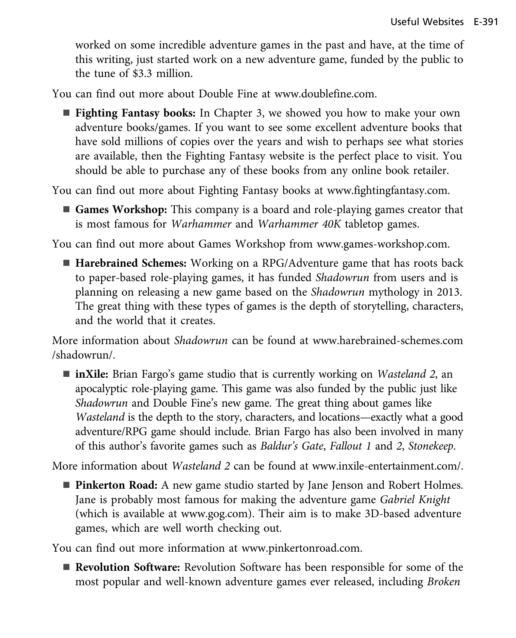worked on some incredible adventure games in the past and have, at the time of this writing, just started work on a new adventure game, funded by the public to the tune of \$3.3 million.

You can find out more about Double Fine at www.doublefine.com.

**Fighting Fantasy books:** In Chapter 3, we showed you how to make your own adventure books/games. If you want to see some excellent adventure books that have sold millions of copies over the years and wish to perhaps see what stories are available, then the Fighting Fantasy website is the perfect place to visit. You should be able to purchase any of these books from any online book retailer.

You can find out more about Fighting Fantasy books at www.fightingfantasy.com.

■ Games Workshop: This company is a board and role-playing games creator that is most famous for Warhammer and Warhammer 40K tabletop games.

You can find out more about Games Workshop from www.games-workshop.com.

■ **Harebrained Schemes:** Working on a RPG/Adventure game that has roots back to paper-based role-playing games, it has funded Shadowrun from users and is planning on releasing a new game based on the Shadowrun mythology in 2013. The great thing with these types of games is the depth of storytelling, characters, and the world that it creates.

More information about Shadowrun can be found at www.harebrained-schemes.com /shadowrun/.

■ **inXile:** Brian Fargo's game studio that is currently working on *Wasteland 2*, an apocalyptic role-playing game. This game was also funded by the public just like Shadowrun and Double Fine's new game. The great thing about games like Wasteland is the depth to the story, characters, and locations—exactly what a good adventure/RPG game should include. Brian Fargo has also been involved in many of this author's favorite games such as Baldur's Gate, Fallout 1 and 2, Stonekeep.

More information about Wasteland 2 can be found at www.inxile-entertainment.com/.

**Pinkerton Road:** A new game studio started by Jane Jenson and Robert Holmes. Jane is probably most famous for making the adventure game Gabriel Knight (which is available at www.gog.com). Their aim is to make 3D-based adventure games, which are well worth checking out.

You can find out more information at www.pinkertonroad.com.

■ Revolution Software: Revolution Software has been responsible for some of the most popular and well-known adventure games ever released, including Broken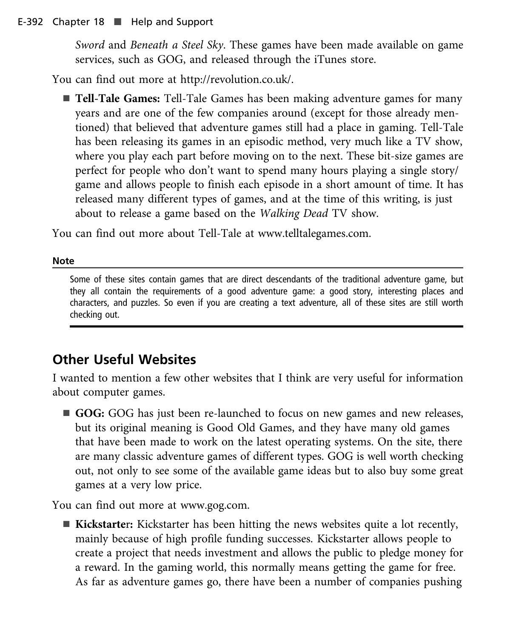#### E-392 Chapter 18 ■ Help and Support

Sword and Beneath a Steel Sky. These games have been made available on game services, such as GOG, and released through the iTunes store.

You can find out more at http://revolution.co.uk/.

■ **Tell-Tale Games:** Tell-Tale Games has been making adventure games for many years and are one of the few companies around (except for those already mentioned) that believed that adventure games still had a place in gaming. Tell-Tale has been releasing its games in an episodic method, very much like a TV show, where you play each part before moving on to the next. These bit-size games are perfect for people who don't want to spend many hours playing a single story/ game and allows people to finish each episode in a short amount of time. It has released many different types of games, and at the time of this writing, is just about to release a game based on the Walking Dead TV show.

You can find out more about Tell-Tale at www.telltalegames.com.

#### **Note**

Some of these sites contain games that are direct descendants of the traditional adventure game, but they all contain the requirements of a good adventure game: a good story, interesting places and characters, and puzzles. So even if you are creating a text adventure, all of these sites are still worth checking out.

#### **Other Useful Websites**

I wanted to mention a few other websites that I think are very useful for information about computer games.

■ **GOG:** GOG has just been re-launched to focus on new games and new releases, but its original meaning is Good Old Games, and they have many old games that have been made to work on the latest operating systems. On the site, there are many classic adventure games of different types. GOG is well worth checking out, not only to see some of the available game ideas but to also buy some great games at a very low price.

You can find out more at www.gog.com.

■ **Kickstarter:** Kickstarter has been hitting the news websites quite a lot recently, mainly because of high profile funding successes. Kickstarter allows people to create a project that needs investment and allows the public to pledge money for a reward. In the gaming world, this normally means getting the game for free. As far as adventure games go, there have been a number of companies pushing